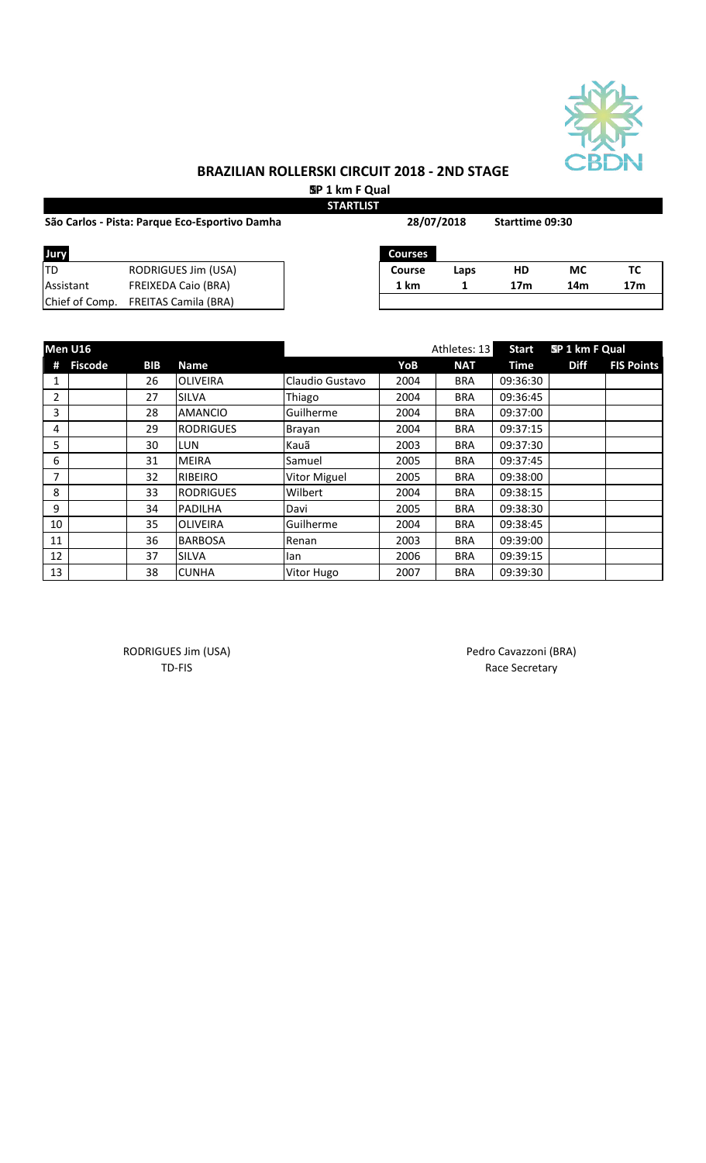

 **SP 1 km F Qual STARTLIST**

|                | São Carlos - Pista: Parque Eco-Esportivo Damha | 28/07/2018     |      | Starttime 09:30 |     |                 |
|----------------|------------------------------------------------|----------------|------|-----------------|-----|-----------------|
| Jury           |                                                | <b>Courses</b> |      |                 |     |                 |
| ltd            | <b>RODRIGUES Jim (USA)</b>                     | Course         | Laps | НD              | МC  | TC              |
| Assistant      | <b>FREIXEDA Caio (BRA)</b>                     | 1 km           |      | 17 <sub>m</sub> | 14m | 17 <sub>m</sub> |
| Chief of Comp. | <b>FREITAS Camila (BRA)</b>                    |                |      |                 |     |                 |

|    | Men U16        |            |                  |                     |      | Athletes: 13 | <b>Start</b> | SP 1 km F Qual |                   |
|----|----------------|------------|------------------|---------------------|------|--------------|--------------|----------------|-------------------|
| #  | <b>Fiscode</b> | <b>BIB</b> | <b>Name</b>      |                     | YoB  | <b>NAT</b>   | <b>Time</b>  | <b>Diff</b>    | <b>FIS Points</b> |
| 1  |                | 26         | <b>OLIVEIRA</b>  | Claudio Gustavo     | 2004 | <b>BRA</b>   | 09:36:30     |                |                   |
| 2  |                | 27         | <b>SILVA</b>     | Thiago              | 2004 | <b>BRA</b>   | 09:36:45     |                |                   |
| 3  |                | 28         | <b>AMANCIO</b>   | Guilherme           | 2004 | <b>BRA</b>   | 09:37:00     |                |                   |
| 4  |                | 29         | <b>RODRIGUES</b> | Brayan              | 2004 | <b>BRA</b>   | 09:37:15     |                |                   |
| 5  |                | 30         | <b>LUN</b>       | Kauã                | 2003 | <b>BRA</b>   | 09:37:30     |                |                   |
| 6  |                | 31         | <b>MEIRA</b>     | Samuel              | 2005 | <b>BRA</b>   | 09:37:45     |                |                   |
| 7  |                | 32         | <b>RIBEIRO</b>   | <b>Vitor Miguel</b> | 2005 | <b>BRA</b>   | 09:38:00     |                |                   |
| 8  |                | 33         | <b>RODRIGUES</b> | Wilbert             | 2004 | <b>BRA</b>   | 09:38:15     |                |                   |
| 9  |                | 34         | <b>PADILHA</b>   | Davi                | 2005 | <b>BRA</b>   | 09:38:30     |                |                   |
| 10 |                | 35         | <b>OLIVEIRA</b>  | Guilherme           | 2004 | <b>BRA</b>   | 09:38:45     |                |                   |
| 11 |                | 36         | <b>BARBOSA</b>   | Renan               | 2003 | <b>BRA</b>   | 09:39:00     |                |                   |
| 12 |                | 37         | <b>SILVA</b>     | lan                 | 2006 | <b>BRA</b>   | 09:39:15     |                |                   |
| 13 |                | 38         | <b>CUNHA</b>     | Vitor Hugo          | 2007 | <b>BRA</b>   | 09:39:30     |                |                   |

RODRIGUES Jim (USA) Pedro Cavazzoni (BRA) TD-FIS Race Secretary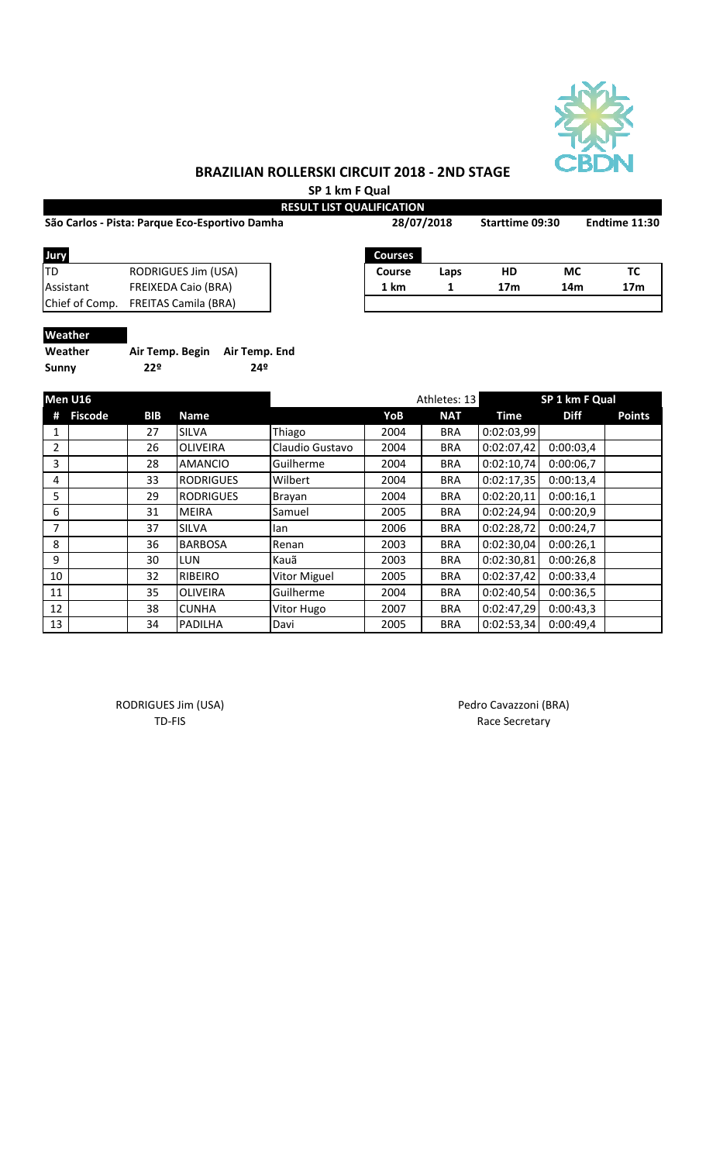

**SP 1 km F Qual**

|                                                |                             | <b>RESULT LIST QUALIFICATION</b> |                |      |                 |                 |                 |  |
|------------------------------------------------|-----------------------------|----------------------------------|----------------|------|-----------------|-----------------|-----------------|--|
| São Carlos - Pista: Parque Eco-Esportivo Damha |                             |                                  | 28/07/2018     |      | Starttime 09:30 |                 | Endtime 11:30   |  |
| Jury                                           |                             |                                  | <b>Courses</b> |      |                 |                 |                 |  |
| ltd                                            | RODRIGUES Jim (USA)         |                                  | Course         | Laps | HD              | <b>MC</b>       | TC              |  |
| Assistant                                      | <b>FREIXEDA Caio (BRA)</b>  |                                  | 1 km           |      | 17 <sub>m</sub> | 14 <sub>m</sub> | 17 <sub>m</sub> |  |
| Chief of Comp.                                 | <b>FREITAS Camila (BRA)</b> |                                  |                |      |                 |                 |                 |  |
|                                                |                             |                                  |                |      |                 |                 |                 |  |

## **Weather**

| Weather | Air Temp. Begin Air Temp. End |     |
|---------|-------------------------------|-----|
| Sunny   | 22º                           | 24º |

|    | Men U16        |            |                  | Athletes: 13        |      |            | SP 1 km F Qual |             |               |
|----|----------------|------------|------------------|---------------------|------|------------|----------------|-------------|---------------|
| #  | <b>Fiscode</b> | <b>BIB</b> | Name             |                     | YoB  | <b>NAT</b> | Time           | <b>Diff</b> | <b>Points</b> |
|    |                | 27         | <b>SILVA</b>     | Thiago              | 2004 | <b>BRA</b> | 0:02:03,99     |             |               |
| 2  |                | 26         | <b>OLIVEIRA</b>  | Claudio Gustavo     | 2004 | <b>BRA</b> | 0:02:07,42     | 0:00:03,4   |               |
| 3  |                | 28         | <b>AMANCIO</b>   | Guilherme           | 2004 | <b>BRA</b> | 0:02:10,74     | 0:00:06,7   |               |
| 4  |                | 33         | <b>RODRIGUES</b> | Wilbert             | 2004 | <b>BRA</b> | 0:02:17,35     | 0:00:13,4   |               |
| 5  |                | 29         | <b>RODRIGUES</b> | Brayan              | 2004 | <b>BRA</b> | 0:02:20,11     | 0:00:16,1   |               |
| 6  |                | 31         | <b>MEIRA</b>     | Samuel              | 2005 | <b>BRA</b> | 0:02:24,94     | 0:00:20,9   |               |
| 7  |                | 37         | <b>SILVA</b>     | lan                 | 2006 | <b>BRA</b> | 0:02:28,72     | 0:00:24,7   |               |
| 8  |                | 36         | <b>BARBOSA</b>   | Renan               | 2003 | <b>BRA</b> | 0:02:30,04     | 0:00:26,1   |               |
| 9  |                | 30         | <b>LUN</b>       | Kauã                | 2003 | <b>BRA</b> | 0:02:30,81     | 0:00:26,8   |               |
| 10 |                | 32         | RIBEIRO          | <b>Vitor Miguel</b> | 2005 | <b>BRA</b> | 0:02:37,42     | 0:00:33,4   |               |
| 11 |                | 35         | <b>OLIVEIRA</b>  | Guilherme           | 2004 | <b>BRA</b> | 0:02:40,54     | 0:00:36,5   |               |
| 12 |                | 38         | <b>CUNHA</b>     | Vitor Hugo          | 2007 | <b>BRA</b> | 0:02:47,29     | 0:00:43,3   |               |
| 13 |                | 34         | <b>PADILHA</b>   | Davi                | 2005 | <b>BRA</b> | 0:02:53,34     | 0:00:49,4   |               |

RODRIGUES Jim (USA) Pedro Cavazzoni (BRA)

TD-FIS Race Secretary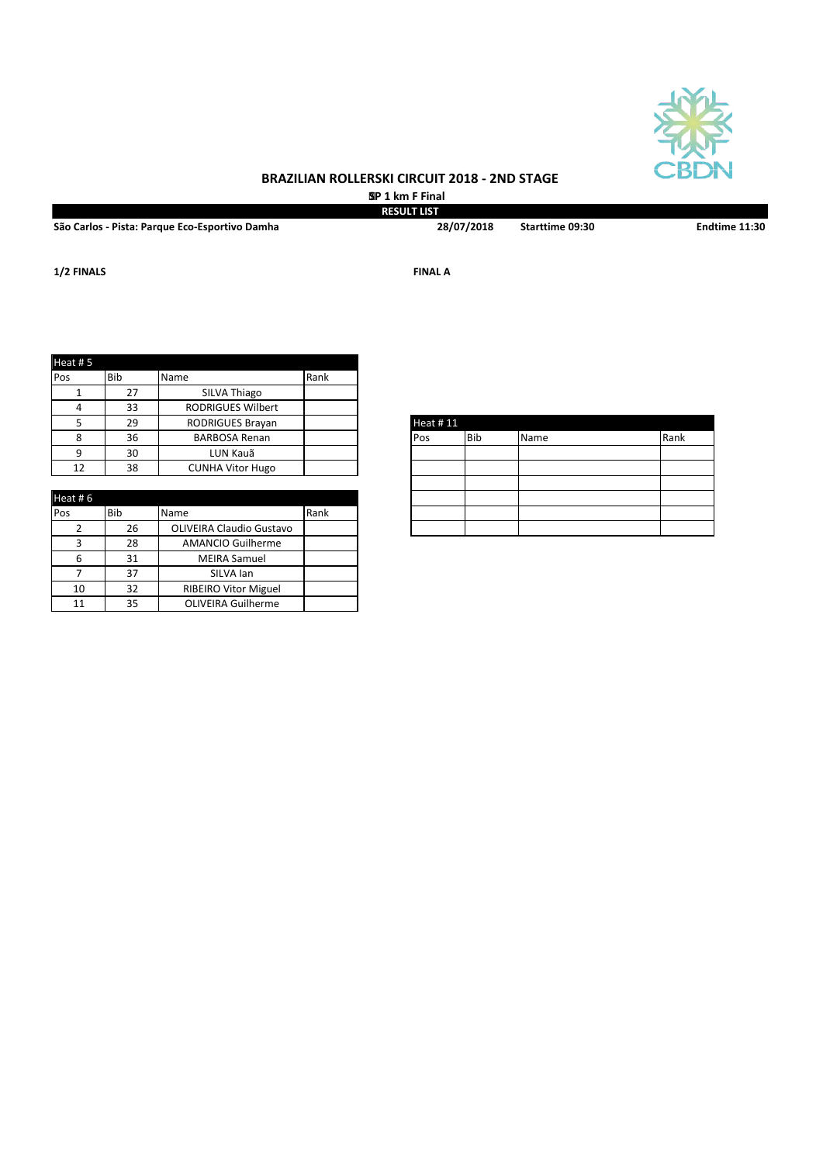

 **SP 1 km F Final RESULT LIST**

**São Carlos - Pista: Parque Eco-Esportivo Damha Starttime 09:30 Endtime 11:30**

**28/07/2018**

**1/2 FINALS FINAL A**

| Heat #5 |     |                          |      |
|---------|-----|--------------------------|------|
| Pos     | Bib | Name                     | Rank |
|         | 27  | SILVA Thiago             |      |
| 4       | 33  | <b>RODRIGUES Wilbert</b> |      |
|         | 29  | <b>RODRIGUES Brayan</b>  |      |
|         | 36  | <b>BARBOSA Renan</b>     |      |
| ∩       | 30  | LUN Kauã                 |      |
| 12      | 38  | <b>CUNHA Vitor Hugo</b>  |      |

| Heat # $6$ |            |                                 |      |
|------------|------------|---------------------------------|------|
| Pos        | <b>Bib</b> | Name                            | Rank |
|            | 26         | <b>OLIVEIRA Claudio Gustavo</b> |      |
|            | 28         | <b>AMANCIO Guilherme</b>        |      |
| 6          | 31         | <b>MEIRA Samuel</b>             |      |
|            | 37         | SILVA lan                       |      |
| 10         | 32         | <b>RIBEIRO Vitor Miguel</b>     |      |
| 11         | 35         | <b>OLIVEIRA Guilherme</b>       |      |

| Heat #11 |     |      |      |
|----------|-----|------|------|
| Pos      | Bib | Name | Rank |
|          |     |      |      |
|          |     |      |      |
|          |     |      |      |
|          |     |      |      |
|          |     |      |      |
|          |     |      |      |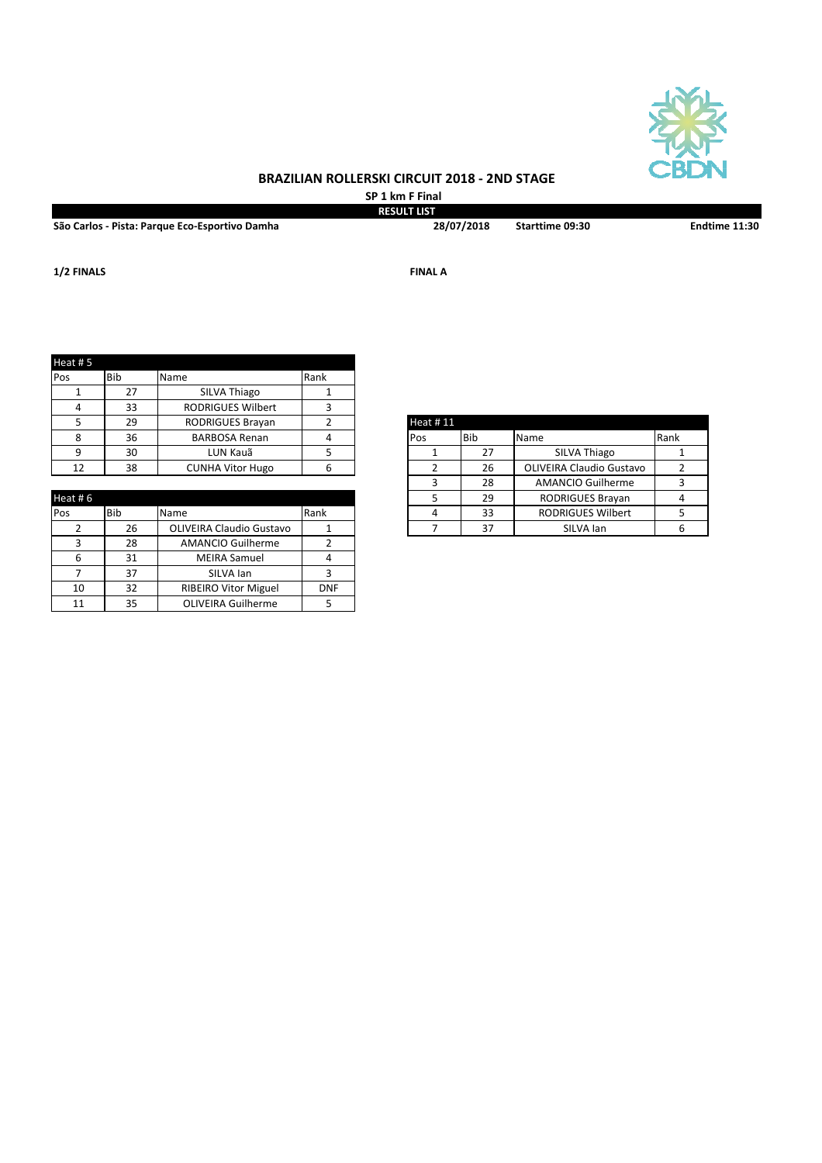

**SP 1 km F Final RESULT LIST**

**São Carlos - Pista: Parque Eco-Esportivo Damha Starttime 09:30 Endtime 11:30**

**28/07/2018**

**1/2 FINALS FINAL A**

| Heat #5 |            |                          |      |          |               |                                 |      |
|---------|------------|--------------------------|------|----------|---------------|---------------------------------|------|
| Pos     | <b>Bib</b> | Name                     | Rank |          |               |                                 |      |
|         | 27         | SILVA Thiago             |      |          |               |                                 |      |
|         | 33         | <b>RODRIGUES Wilbert</b> |      |          |               |                                 |      |
|         | 29         | <b>RODRIGUES Brayan</b>  |      | Heat #11 |               |                                 |      |
| 8       | 36         | <b>BARBOSA Renan</b>     |      | Pos      | <b>Bib</b>    | Name                            | Rank |
| ٩       | 30         | LUN Kauã                 |      |          | 27            | SILVA Thiago                    |      |
| 12      | 38         | <b>CUNHA Vitor Hugo</b>  | 6    |          | 26            | <b>OLIVEIRA Claudio Gustavo</b> |      |
|         |            |                          |      |          | $\sim$ $\sim$ |                                 |      |

| Heat #6 |     |                                 |            |
|---------|-----|---------------------------------|------------|
| Pos     | Bib | Name                            | Rank       |
|         | 26  | <b>OLIVEIRA Claudio Gustavo</b> |            |
|         | 28  | <b>AMANCIO Guilherme</b>        |            |
|         | 31  | <b>MEIRA Samuel</b>             |            |
|         | 37  | SILVA lan                       |            |
| 10      | 32  | <b>RIBEIRO Vitor Miguel</b>     | <b>DNF</b> |
| 11      | 35  | <b>OLIVEIRA Guilherme</b>       |            |

| <b>Heat #11</b> |     |                                 |      |
|-----------------|-----|---------------------------------|------|
| Pos             | Bib | Name                            | Rank |
|                 | 27  | <b>SILVA Thiago</b>             |      |
| 2               | 26  | <b>OLIVEIRA Claudio Gustavo</b> |      |
| 3               | 28  | <b>AMANCIO Guilherme</b>        |      |
| 5               | 29  | RODRIGUES Brayan                |      |
|                 | 33  | <b>RODRIGUES Wilbert</b>        |      |
|                 | 37  | SILVA lan                       |      |
|                 |     |                                 |      |